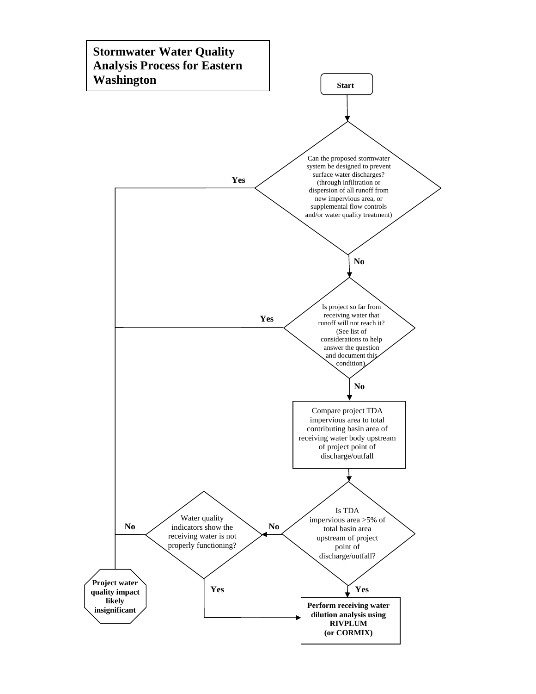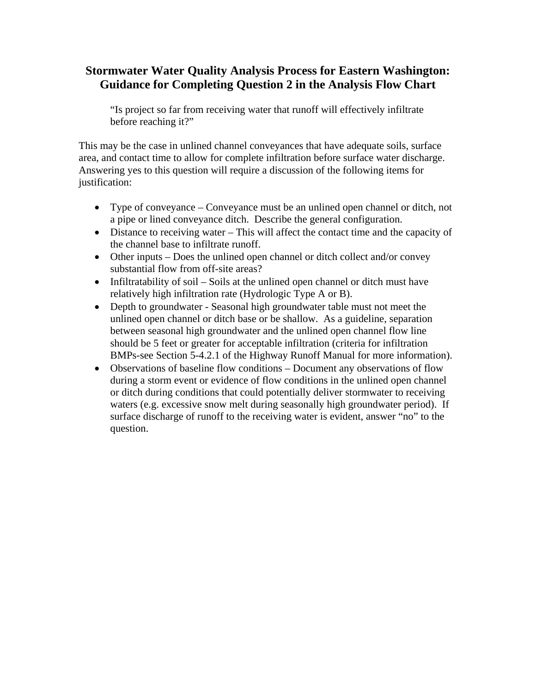## **Stormwater Water Quality Analysis Process for Eastern Washington: Guidance for Completing Question 2 in the Analysis Flow Chart**

"Is project so far from receiving water that runoff will effectively infiltrate before reaching it?"

This may be the case in unlined channel conveyances that have adequate soils, surface area, and contact time to allow for complete infiltration before surface water discharge. Answering yes to this question will require a discussion of the following items for justification:

- Type of conveyance Conveyance must be an unlined open channel or ditch, not a pipe or lined conveyance ditch. Describe the general configuration.
- Distance to receiving water This will affect the contact time and the capacity of the channel base to infiltrate runoff.
- Other inputs Does the unlined open channel or ditch collect and/or convey substantial flow from off-site areas?
- Infiltratability of soil Soils at the unlined open channel or ditch must have relatively high infiltration rate (Hydrologic Type A or B).
- Depth to groundwater Seasonal high groundwater table must not meet the unlined open channel or ditch base or be shallow. As a guideline, separation between seasonal high groundwater and the unlined open channel flow line should be 5 feet or greater for acceptable infiltration (criteria for infiltration BMPs-see Section 5-4.2.1 of the Highway Runoff Manual for more information).
- Observations of baseline flow conditions Document any observations of flow during a storm event or evidence of flow conditions in the unlined open channel or ditch during conditions that could potentially deliver stormwater to receiving waters (e.g. excessive snow melt during seasonally high groundwater period). If surface discharge of runoff to the receiving water is evident, answer "no" to the question.